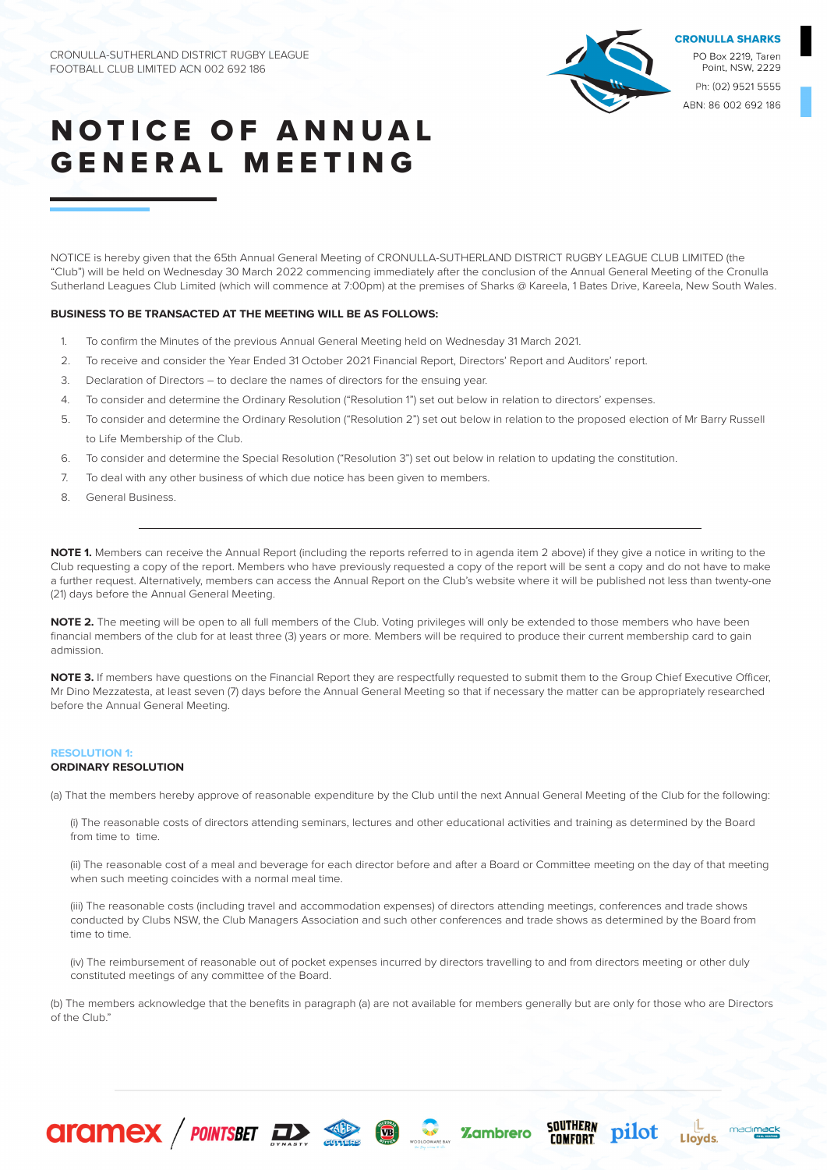

Point, NSW, 2229 Ph: (02) 9521 5555 ABN: 86 002 692 186

# **NOTICE OF ANNUAL** GENERAL MEETING

NOTICE is hereby given that the 65th Annual General Meeting of CRONULLA-SUTHERLAND DISTRICT RUGBY LEAGUE CLUB LIMITED (the "Club") will be held on Wednesday 30 March 2022 commencing immediately after the conclusion of the Annual General Meeting of the Cronulla Sutherland Leagues Club Limited (which will commence at 7:00pm) at the premises of Sharks @ Kareela, 1 Bates Drive, Kareela, New South Wales.

### **BUSINESS TO BE TRANSACTED AT THE MEETING WILL BE AS FOLLOWS:**

- 1. To confirm the Minutes of the previous Annual General Meeting held on Wednesday 31 March 2021.
- 2. To receive and consider the Year Ended 31 October 2021 Financial Report, Directors' Report and Auditors' report.
- 3. Declaration of Directors to declare the names of directors for the ensuing year.
- 4. To consider and determine the Ordinary Resolution ("Resolution 1") set out below in relation to directors' expenses.
- 5. To consider and determine the Ordinary Resolution ("Resolution 2") set out below in relation to the proposed election of Mr Barry Russell to Life Membership of the Club.
- 6. To consider and determine the Special Resolution ("Resolution 3") set out below in relation to updating the constitution.
- 7. To deal with any other business of which due notice has been given to members.

**CITAMEX** / POINTSBET **EXAMPLE 19 10 SOME 2** Zambrero

8. General Business.

**NOTE 1.** Members can receive the Annual Report (including the reports referred to in agenda item 2 above) if they give a notice in writing to the Club requesting a copy of the report. Members who have previously requested a copy of the report will be sent a copy and do not have to make a further request. Alternatively, members can access the Annual Report on the Club's website where it will be published not less than twenty-one (21) days before the Annual General Meeting.

**NOTE 2.** The meeting will be open to all full members of the Club. Voting privileges will only be extended to those members who have been financial members of the club for at least three (3) years or more. Members will be required to produce their current membership card to gain admission.

**NOTE 3.** If members have questions on the Financial Report they are respectfully requested to submit them to the Group Chief Executive Officer, Mr Dino Mezzatesta, at least seven (7) days before the Annual General Meeting so that if necessary the matter can be appropriately researched before the Annual General Meeting.

# **RESOLUTION 1:**

## **ORDINARY RESOLUTION**

(a) That the members hereby approve of reasonable expenditure by the Club until the next Annual General Meeting of the Club for the following:

(i) The reasonable costs of directors attending seminars, lectures and other educational activities and training as determined by the Board from time to time.

(ii) The reasonable cost of a meal and beverage for each director before and after a Board or Committee meeting on the day of that meeting when such meeting coincides with a normal meal time.

(iii) The reasonable costs (including travel and accommodation expenses) of directors attending meetings, conferences and trade shows conducted by Clubs NSW, the Club Managers Association and such other conferences and trade shows as determined by the Board from time to time.

(iv) The reimbursement of reasonable out of pocket expenses incurred by directors travelling to and from directors meeting or other duly constituted meetings of any committee of the Board.

(b) The members acknowledge that the benefits in paragraph (a) are not available for members generally but are only for those who are Directors of the Club."

SOUTHERN<br>Comfort

pilot

madimack

**Lloyds**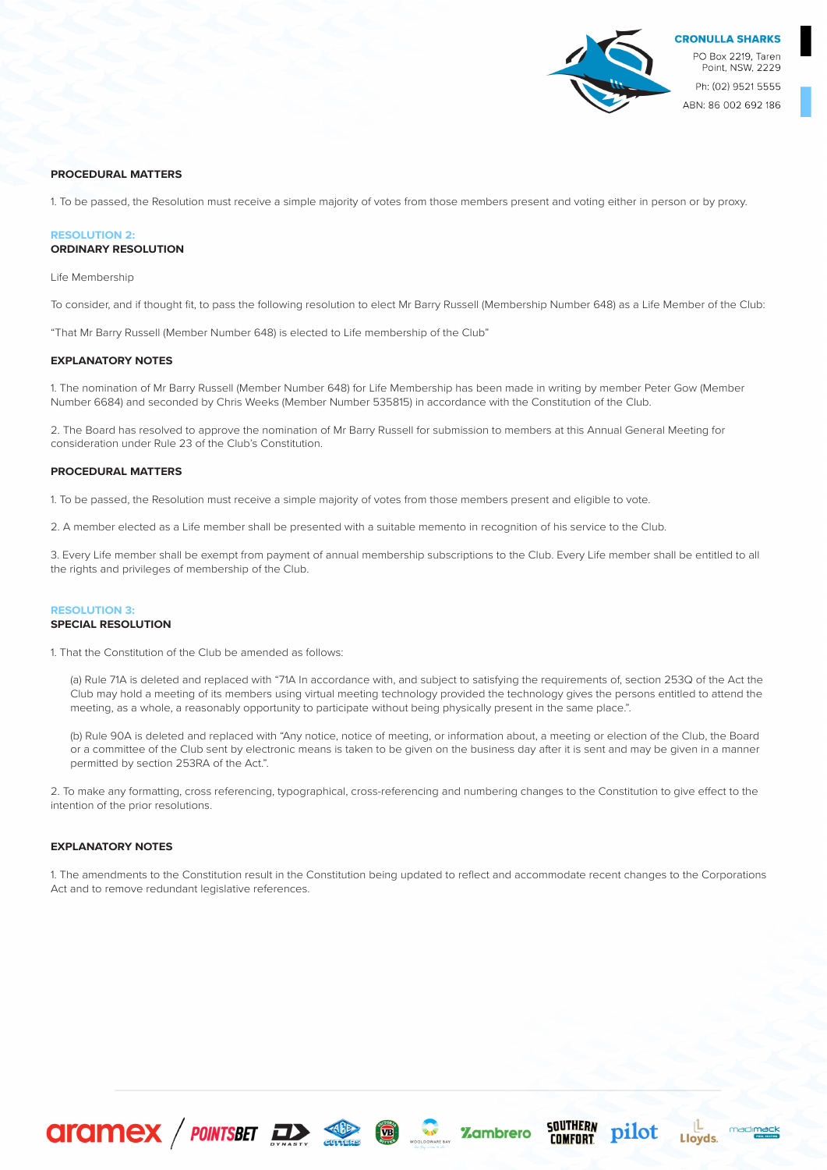

## **PROCEDURAL MATTERS**

1. To be passed, the Resolution must receive a simple majority of votes from those members present and voting either in person or by proxy.

## **RESOLUTION 2: ORDINARY RESOLUTION**

Life Membership

To consider, and if thought fit, to pass the following resolution to elect Mr Barry Russell (Membership Number 648) as a Life Member of the Club:

"That Mr Barry Russell (Member Number 648) is elected to Life membership of the Club"

#### **EXPLANATORY NOTES**

1. The nomination of Mr Barry Russell (Member Number 648) for Life Membership has been made in writing by member Peter Gow (Member Number 6684) and seconded by Chris Weeks (Member Number 535815) in accordance with the Constitution of the Club.

2. The Board has resolved to approve the nomination of Mr Barry Russell for submission to members at this Annual General Meeting for consideration under Rule 23 of the Club's Constitution.

#### **PROCEDURAL MATTERS**

1. To be passed, the Resolution must receive a simple majority of votes from those members present and eligible to vote.

2. A member elected as a Life member shall be presented with a suitable memento in recognition of his service to the Club.

3. Every Life member shall be exempt from payment of annual membership subscriptions to the Club. Every Life member shall be entitled to all the rights and privileges of membership of the Club.

#### **RESOLUTION 3: SPECIAL RESOLUTION**

1. That the Constitution of the Club be amended as follows:

(a) Rule 71A is deleted and replaced with "71A In accordance with, and subject to satisfying the requirements of, section 253Q of the Act the Club may hold a meeting of its members using virtual meeting technology provided the technology gives the persons entitled to attend the meeting, as a whole, a reasonably opportunity to participate without being physically present in the same place.".

(b) Rule 90A is deleted and replaced with "Any notice, notice of meeting, or information about, a meeting or election of the Club, the Board or a committee of the Club sent by electronic means is taken to be given on the business day after it is sent and may be given in a manner permitted by section 253RA of the Act.".

2. To make any formatting, cross referencing, typographical, cross-referencing and numbering changes to the Constitution to give effect to the intention of the prior resolutions.

## **EXPLANATORY NOTES**

1. The amendments to the Constitution result in the Constitution being updated to reflect and accommodate recent changes to the Corporations Act and to remove redundant legislative references.

SOUTHERN<br>Comfort

pilot

madimack

Lloyds

**CITCIMEX** / POINTSBET **De Services C** . 2 **C** . 2 cambrero